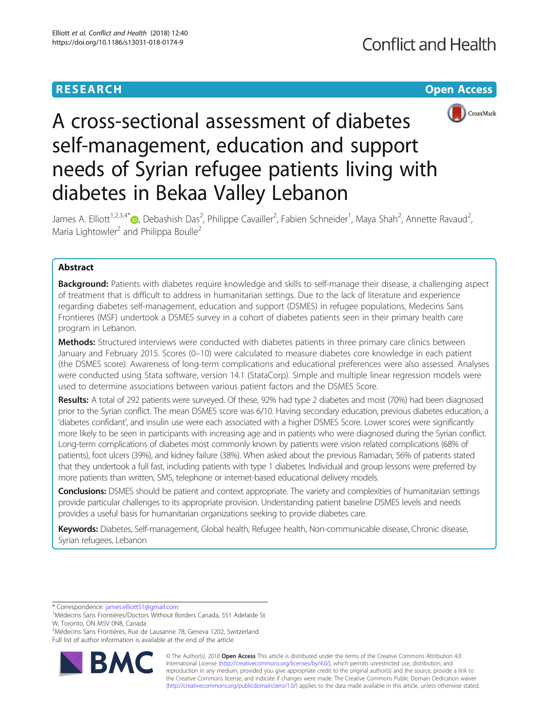# **RESEARCH CHE Open Access**



# A cross-sectional assessment of diabetes self-management, education and support needs of Syrian refugee patients living with diabetes in Bekaa Valley Lebanon

James A. Elliott<sup>1,2,3,4\*</sup>®, Debashish Das<sup>2</sup>, Philippe Cavailler<sup>2</sup>, Fabien Schneider<sup>1</sup>, Maya Shah<sup>2</sup>, Annette Ravaud<sup>2</sup> , Maria Lightowler<sup>2</sup> and Philippa Boulle<sup>2</sup>

# Abstract

Background: Patients with diabetes require knowledge and skills to self-manage their disease, a challenging aspect of treatment that is difficult to address in humanitarian settings. Due to the lack of literature and experience regarding diabetes self-management, education and support (DSMES) in refugee populations, Medecins Sans Frontieres (MSF) undertook a DSMES survey in a cohort of diabetes patients seen in their primary health care program in Lebanon.

Methods: Structured interviews were conducted with diabetes patients in three primary care clinics between January and February 2015. Scores (0–10) were calculated to measure diabetes core knowledge in each patient (the DSMES score). Awareness of long-term complications and educational preferences were also assessed. Analyses were conducted using Stata software, version 14.1 (StataCorp). Simple and multiple linear regression models were used to determine associations between various patient factors and the DSMES Score.

Results: A total of 292 patients were surveyed. Of these, 92% had type 2 diabetes and most (70%) had been diagnosed prior to the Syrian conflict. The mean DSMES score was 6/10. Having secondary education, previous diabetes education, a 'diabetes confidant', and insulin use were each associated with a higher DSMES Score. Lower scores were significantly more likely to be seen in participants with increasing age and in patients who were diagnosed during the Syrian conflict. Long-term complications of diabetes most commonly known by patients were vision related complications (68% of patients), foot ulcers (39%), and kidney failure (38%). When asked about the previous Ramadan, 56% of patients stated that they undertook a full fast, including patients with type 1 diabetes. Individual and group lessons were preferred by more patients than written, SMS, telephone or internet-based educational delivery models.

Conclusions: DSMES should be patient and context appropriate. The variety and complexities of humanitarian settings provide particular challenges to its appropriate provision. Understanding patient baseline DSMES levels and needs provides a useful basis for humanitarian organizations seeking to provide diabetes care.

Keywords: Diabetes, Self-management, Global health, Refugee health, Non-communicable disease, Chronic disease, Syrian refugees, Lebanon

\* Correspondence: [james.elliott51@gmail.com](mailto:james.elliott51@gmail.com) <sup>1</sup>

<sup>2</sup>Médecins Sans Frontières, Rue de Lausanne 78, Geneva 1202, Switzerland Full list of author information is available at the end of the article



© The Author(s). 2018 Open Access This article is distributed under the terms of the Creative Commons Attribution 4.0 International License [\(http://creativecommons.org/licenses/by/4.0/](http://creativecommons.org/licenses/by/4.0/)), which permits unrestricted use, distribution, and reproduction in any medium, provided you give appropriate credit to the original author(s) and the source, provide a link to the Creative Commons license, and indicate if changes were made. The Creative Commons Public Domain Dedication waiver [\(http://creativecommons.org/publicdomain/zero/1.0/](http://creativecommons.org/publicdomain/zero/1.0/)) applies to the data made available in this article, unless otherwise stated.

<sup>&</sup>lt;sup>1</sup>Médecins Sans Frontières/Doctors Without Borders Canada, 551 Adelaide St W, Toronto, ON M5V 0N8, Canada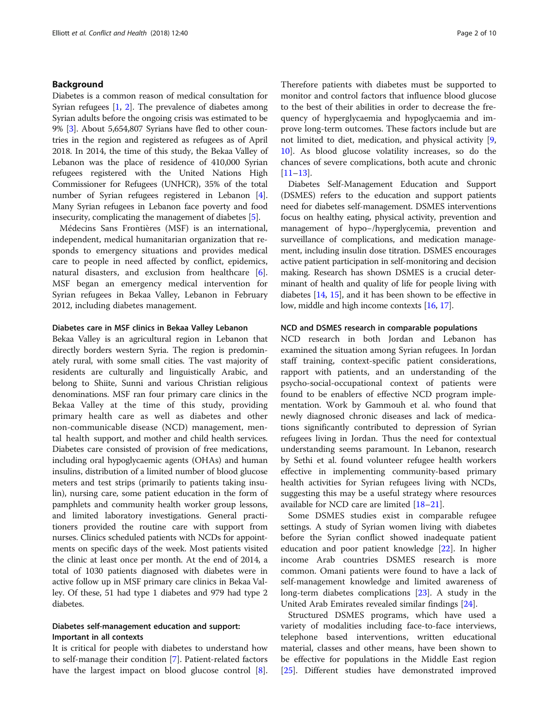# Background

Diabetes is a common reason of medical consultation for Syrian refugees [\[1,](#page-8-0) [2\]](#page-8-0). The prevalence of diabetes among Syrian adults before the ongoing crisis was estimated to be 9% [[3\]](#page-8-0). About 5,654,807 Syrians have fled to other countries in the region and registered as refugees as of April 2018. In 2014, the time of this study, the Bekaa Valley of Lebanon was the place of residence of 410,000 Syrian refugees registered with the United Nations High Commissioner for Refugees (UNHCR), 35% of the total number of Syrian refugees registered in Lebanon [[4](#page-8-0)]. Many Syrian refugees in Lebanon face poverty and food insecurity, complicating the management of diabetes [[5](#page-8-0)].

Médecins Sans Frontières (MSF) is an international, independent, medical humanitarian organization that responds to emergency situations and provides medical care to people in need affected by conflict, epidemics, natural disasters, and exclusion from healthcare [\[6](#page-8-0)]. MSF began an emergency medical intervention for Syrian refugees in Bekaa Valley, Lebanon in February 2012, including diabetes management.

#### Diabetes care in MSF clinics in Bekaa Valley Lebanon

Bekaa Valley is an agricultural region in Lebanon that directly borders western Syria. The region is predominately rural, with some small cities. The vast majority of residents are culturally and linguistically Arabic, and belong to Shiite, Sunni and various Christian religious denominations. MSF ran four primary care clinics in the Bekaa Valley at the time of this study, providing primary health care as well as diabetes and other non-communicable disease (NCD) management, mental health support, and mother and child health services. Diabetes care consisted of provision of free medications, including oral hypoglycaemic agents (OHAs) and human insulins, distribution of a limited number of blood glucose meters and test strips (primarily to patients taking insulin), nursing care, some patient education in the form of pamphlets and community health worker group lessons, and limited laboratory investigations. General practitioners provided the routine care with support from nurses. Clinics scheduled patients with NCDs for appointments on specific days of the week. Most patients visited the clinic at least once per month. At the end of 2014, a total of 1030 patients diagnosed with diabetes were in active follow up in MSF primary care clinics in Bekaa Valley. Of these, 51 had type 1 diabetes and 979 had type 2 diabetes.

# Diabetes self-management education and support: Important in all contexts

It is critical for people with diabetes to understand how to self-manage their condition [\[7\]](#page-8-0). Patient-related factors have the largest impact on blood glucose control [\[8](#page-8-0)]. Therefore patients with diabetes must be supported to monitor and control factors that influence blood glucose to the best of their abilities in order to decrease the frequency of hyperglycaemia and hypoglycaemia and improve long-term outcomes. These factors include but are not limited to diet, medication, and physical activity [\[9](#page-8-0), [10\]](#page-8-0). As blood glucose volatility increases, so do the chances of severe complications, both acute and chronic  $[11–13]$  $[11–13]$  $[11–13]$  $[11–13]$  $[11–13]$ .

Diabetes Self-Management Education and Support (DSMES) refers to the education and support patients need for diabetes self-management. DSMES interventions focus on healthy eating, physical activity, prevention and management of hypo−/hyperglycemia, prevention and surveillance of complications, and medication management, including insulin dose titration. DSMES encourages active patient participation in self-monitoring and decision making. Research has shown DSMES is a crucial determinant of health and quality of life for people living with diabetes [\[14,](#page-8-0) [15\]](#page-8-0), and it has been shown to be effective in low, middle and high income contexts [\[16,](#page-8-0) [17](#page-8-0)].

#### NCD and DSMES research in comparable populations

NCD research in both Jordan and Lebanon has examined the situation among Syrian refugees. In Jordan staff training, context-specific patient considerations, rapport with patients, and an understanding of the psycho-social-occupational context of patients were found to be enablers of effective NCD program implementation. Work by Gammouh et al. who found that newly diagnosed chronic diseases and lack of medications significantly contributed to depression of Syrian refugees living in Jordan. Thus the need for contextual understanding seems paramount. In Lebanon, research by Sethi et al. found volunteer refugee health workers effective in implementing community-based primary health activities for Syrian refugees living with NCDs, suggesting this may be a useful strategy where resources available for NCD care are limited [\[18](#page-8-0)–[21\]](#page-8-0).

Some DSMES studies exist in comparable refugee settings. A study of Syrian women living with diabetes before the Syrian conflict showed inadequate patient education and poor patient knowledge [[22\]](#page-8-0). In higher income Arab countries DSMES research is more common. Omani patients were found to have a lack of self-management knowledge and limited awareness of long-term diabetes complications [[23](#page-8-0)]. A study in the United Arab Emirates revealed similar findings [\[24\]](#page-8-0).

Structured DSMES programs, which have used a variety of modalities including face-to-face interviews, telephone based interventions, written educational material, classes and other means, have been shown to be effective for populations in the Middle East region [[25\]](#page-8-0). Different studies have demonstrated improved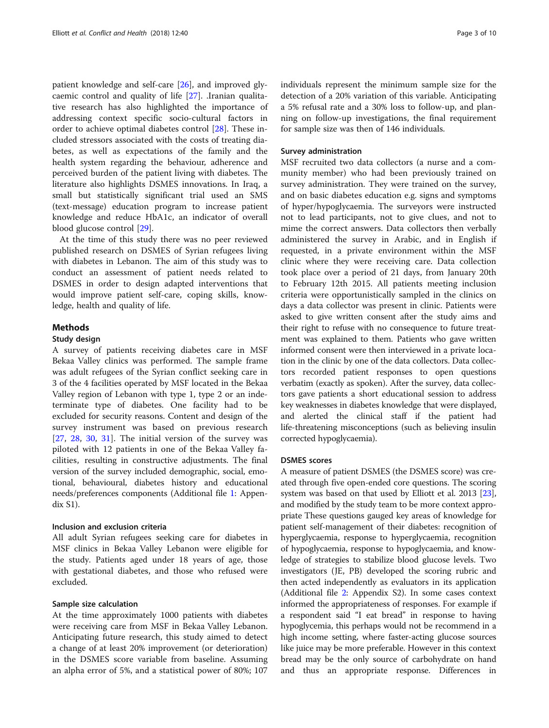patient knowledge and self-care [\[26](#page-8-0)], and improved glycaemic control and quality of life [[27\]](#page-8-0). .Iranian qualitative research has also highlighted the importance of addressing context specific socio-cultural factors in order to achieve optimal diabetes control [\[28\]](#page-8-0). These included stressors associated with the costs of treating diabetes, as well as expectations of the family and the health system regarding the behaviour, adherence and perceived burden of the patient living with diabetes. The literature also highlights DSMES innovations. In Iraq, a small but statistically significant trial used an SMS (text-message) education program to increase patient knowledge and reduce HbA1c, an indicator of overall blood glucose control [[29](#page-8-0)].

At the time of this study there was no peer reviewed published research on DSMES of Syrian refugees living with diabetes in Lebanon. The aim of this study was to conduct an assessment of patient needs related to DSMES in order to design adapted interventions that would improve patient self-care, coping skills, knowledge, health and quality of life.

# Methods

# Study design

A survey of patients receiving diabetes care in MSF Bekaa Valley clinics was performed. The sample frame was adult refugees of the Syrian conflict seeking care in 3 of the 4 facilities operated by MSF located in the Bekaa Valley region of Lebanon with type 1, type 2 or an indeterminate type of diabetes. One facility had to be excluded for security reasons. Content and design of the survey instrument was based on previous research  $[27, 28, 30, 31]$  $[27, 28, 30, 31]$  $[27, 28, 30, 31]$  $[27, 28, 30, 31]$  $[27, 28, 30, 31]$  $[27, 28, 30, 31]$  $[27, 28, 30, 31]$  $[27, 28, 30, 31]$  $[27, 28, 30, 31]$ . The initial version of the survey was piloted with 12 patients in one of the Bekaa Valley facilities, resulting in constructive adjustments. The final version of the survey included demographic, social, emotional, behavioural, diabetes history and educational needs/preferences components (Additional file [1](#page-7-0): Appendix S1).

# Inclusion and exclusion criteria

All adult Syrian refugees seeking care for diabetes in MSF clinics in Bekaa Valley Lebanon were eligible for the study. Patients aged under 18 years of age, those with gestational diabetes, and those who refused were excluded.

#### Sample size calculation

At the time approximately 1000 patients with diabetes were receiving care from MSF in Bekaa Valley Lebanon. Anticipating future research, this study aimed to detect a change of at least 20% improvement (or deterioration) in the DSMES score variable from baseline. Assuming an alpha error of 5%, and a statistical power of 80%; 107 individuals represent the minimum sample size for the detection of a 20% variation of this variable. Anticipating a 5% refusal rate and a 30% loss to follow-up, and planning on follow-up investigations, the final requirement for sample size was then of 146 individuals.

#### Survey administration

MSF recruited two data collectors (a nurse and a community member) who had been previously trained on survey administration. They were trained on the survey, and on basic diabetes education e.g. signs and symptoms of hyper/hypoglycaemia. The surveyors were instructed not to lead participants, not to give clues, and not to mime the correct answers. Data collectors then verbally administered the survey in Arabic, and in English if requested, in a private environment within the MSF clinic where they were receiving care. Data collection took place over a period of 21 days, from January 20th to February 12th 2015. All patients meeting inclusion criteria were opportunistically sampled in the clinics on days a data collector was present in clinic. Patients were asked to give written consent after the study aims and their right to refuse with no consequence to future treatment was explained to them. Patients who gave written informed consent were then interviewed in a private location in the clinic by one of the data collectors. Data collectors recorded patient responses to open questions verbatim (exactly as spoken). After the survey, data collectors gave patients a short educational session to address key weaknesses in diabetes knowledge that were displayed, and alerted the clinical staff if the patient had life-threatening misconceptions (such as believing insulin corrected hypoglycaemia).

#### DSMES scores

A measure of patient DSMES (the DSMES score) was created through five open-ended core questions. The scoring system was based on that used by Elliott et al. 2013 [[23](#page-8-0)], and modified by the study team to be more context appropriate These questions gauged key areas of knowledge for patient self-management of their diabetes: recognition of hyperglycaemia, response to hyperglycaemia, recognition of hypoglycaemia, response to hypoglycaemia, and knowledge of strategies to stabilize blood glucose levels. Two investigators (JE, PB) developed the scoring rubric and then acted independently as evaluators in its application (Additional file [2:](#page-7-0) Appendix S2). In some cases context informed the appropriateness of responses. For example if a respondent said "I eat bread" in response to having hypoglycemia, this perhaps would not be recommend in a high income setting, where faster-acting glucose sources like juice may be more preferable. However in this context bread may be the only source of carbohydrate on hand and thus an appropriate response. Differences in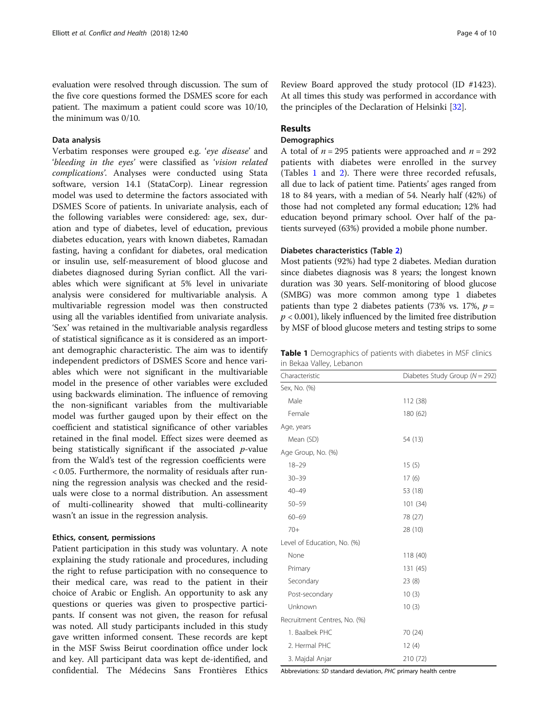evaluation were resolved through discussion. The sum of the five core questions formed the DSMES score for each patient. The maximum a patient could score was 10/10, the minimum was 0/10.

# Data analysis

Verbatim responses were grouped e.g. 'eye disease' and 'bleeding in the eyes' were classified as 'vision related complications'. Analyses were conducted using Stata software, version 14.1 (StataCorp). Linear regression model was used to determine the factors associated with DSMES Score of patients. In univariate analysis, each of the following variables were considered: age, sex, duration and type of diabetes, level of education, previous diabetes education, years with known diabetes, Ramadan fasting, having a confidant for diabetes, oral medication or insulin use, self-measurement of blood glucose and diabetes diagnosed during Syrian conflict. All the variables which were significant at 5% level in univariate analysis were considered for multivariable analysis. A multivariable regression model was then constructed using all the variables identified from univariate analysis. 'Sex' was retained in the multivariable analysis regardless of statistical significance as it is considered as an important demographic characteristic. The aim was to identify independent predictors of DSMES Score and hence variables which were not significant in the multivariable model in the presence of other variables were excluded using backwards elimination. The influence of removing the non-significant variables from the multivariable model was further gauged upon by their effect on the coefficient and statistical significance of other variables retained in the final model. Effect sizes were deemed as being statistically significant if the associated  $p$ -value from the Wald's test of the regression coefficients were < 0.05. Furthermore, the normality of residuals after running the regression analysis was checked and the residuals were close to a normal distribution. An assessment of multi-collinearity showed that multi-collinearity wasn't an issue in the regression analysis.

# Ethics, consent, permissions

Patient participation in this study was voluntary. A note explaining the study rationale and procedures, including the right to refuse participation with no consequence to their medical care, was read to the patient in their choice of Arabic or English. An opportunity to ask any questions or queries was given to prospective participants. If consent was not given, the reason for refusal was noted. All study participants included in this study gave written informed consent. These records are kept in the MSF Swiss Beirut coordination office under lock and key. All participant data was kept de-identified, and confidential. The Médecins Sans Frontières Ethics Review Board approved the study protocol (ID #1423). At all times this study was performed in accordance with the principles of the Declaration of Helsinki [\[32\]](#page-9-0).

# Results

# **Demographics**

A total of  $n = 295$  patients were approached and  $n = 292$ patients with diabetes were enrolled in the survey (Tables 1 and [2\)](#page-4-0). There were three recorded refusals, all due to lack of patient time. Patients' ages ranged from 18 to 84 years, with a median of 54. Nearly half (42%) of those had not completed any formal education; 12% had education beyond primary school. Over half of the patients surveyed (63%) provided a mobile phone number.

# Diabetes characteristics (Table [2\)](#page-4-0)

Most patients (92%) had type 2 diabetes. Median duration since diabetes diagnosis was 8 years; the longest known duration was 30 years. Self-monitoring of blood glucose (SMBG) was more common among type 1 diabetes patients than type 2 diabetes patients (73% vs. 17%,  $p =$  $p < 0.001$ ), likely influenced by the limited free distribution by MSF of blood glucose meters and testing strips to some

Table 1 Demographics of patients with diabetes in MSF clinics in Bekaa Valley, Lebanon

| Diabetes Study Group ( $N = 292$ )<br>Characteristic |          |
|------------------------------------------------------|----------|
| Sex, No. (%)                                         |          |
| Male                                                 | 112 (38) |
| Female                                               | 180 (62) |
| Age, years                                           |          |
| Mean (SD)                                            | 54 (13)  |
| Age Group, No. (%)                                   |          |
| $18 - 29$                                            | 15(5)    |
| $30 - 39$                                            | 17(6)    |
| $40 - 49$                                            | 53 (18)  |
| $50 - 59$                                            | 101 (34) |
| $60 - 69$                                            | 78 (27)  |
| $70+$                                                | 28 (10)  |
| Level of Education, No. (%)                          |          |
| None                                                 | 118 (40) |
| Primary                                              | 131 (45) |
| Secondary                                            | 23(8)    |
| Post-secondary                                       | 10(3)    |
| Unknown                                              | 10(3)    |
| Recruitment Centres, No. (%)                         |          |
| 1. Baalbek PHC                                       | 70 (24)  |
| 2. Hermal PHC                                        | 12(4)    |
| 3. Majdal Anjar                                      | 210 (72) |

Abbreviations: SD standard deviation, PHC primary health centre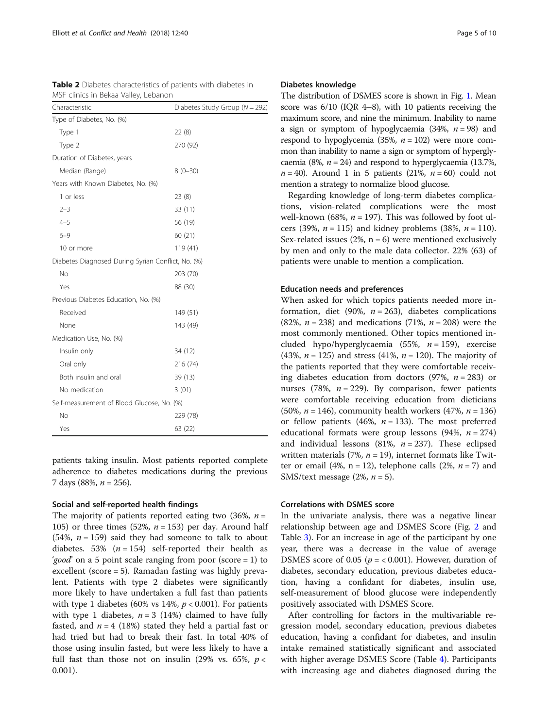| MSF clinics in Bekaa Valley, Lebanon               |                                    |  |  |  |
|----------------------------------------------------|------------------------------------|--|--|--|
| Characteristic                                     | Diabetes Study Group ( $N = 292$ ) |  |  |  |
| Type of Diabetes, No. (%)                          |                                    |  |  |  |
| Type 1                                             | 22(8)                              |  |  |  |
| Type 2                                             | 270 (92)                           |  |  |  |
| Duration of Diabetes, years                        |                                    |  |  |  |
| Median (Range)                                     | $8(0-30)$                          |  |  |  |
| Years with Known Diabetes, No. (%)                 |                                    |  |  |  |
| 1 or less                                          | 23(8)                              |  |  |  |
| $2 - 3$                                            | 33 (11)                            |  |  |  |
| $4 - 5$                                            | 56 (19)                            |  |  |  |
| $6 - 9$                                            | 60 (21)                            |  |  |  |
| 10 or more                                         | 119 (41)                           |  |  |  |
| Diabetes Diagnosed During Syrian Conflict, No. (%) |                                    |  |  |  |
| No                                                 | 203 (70)                           |  |  |  |
| Yes                                                | 88 (30)                            |  |  |  |
| Previous Diabetes Education, No. (%)               |                                    |  |  |  |
| Received                                           | 149 (51)                           |  |  |  |
| None                                               | 143 (49)                           |  |  |  |
| Medication Use, No. (%)                            |                                    |  |  |  |
| Insulin only                                       | 34 (12)                            |  |  |  |
| Oral only                                          | 216 (74)                           |  |  |  |
| Both insulin and oral                              | 39 (13)                            |  |  |  |
| No medication                                      | 3(01)                              |  |  |  |
| Self-measurement of Blood Glucose, No. (%)         |                                    |  |  |  |
| No                                                 | 229 (78)                           |  |  |  |
| Yes                                                | 63 (22)                            |  |  |  |

<span id="page-4-0"></span>Table 2 Diabetes characteristics of patients with diabetes in

patients taking insulin. Most patients reported complete adherence to diabetes medications during the previous 7 days (88%,  $n = 256$ ).

# Social and self-reported health findings

The majority of patients reported eating two (36%,  $n =$ 105) or three times (52%,  $n = 153$ ) per day. Around half (54%,  $n = 159$ ) said they had someone to talk to about diabetes. 53%  $(n = 154)$  self-reported their health as 'good' on a 5 point scale ranging from poor (score = 1) to excellent (score = 5). Ramadan fasting was highly prevalent. Patients with type 2 diabetes were significantly more likely to have undertaken a full fast than patients with type 1 diabetes (60% vs 14%,  $p < 0.001$ ). For patients with type 1 diabetes,  $n = 3$  (14%) claimed to have fully fasted, and  $n = 4$  (18%) stated they held a partial fast or had tried but had to break their fast. In total 40% of those using insulin fasted, but were less likely to have a full fast than those not on insulin (29% vs. 65%,  $p <$ 0.001).

#### Diabetes knowledge

The distribution of DSMES score is shown in Fig. [1.](#page-5-0) Mean score was  $6/10$  (IQR 4–8), with 10 patients receiving the maximum score, and nine the minimum. Inability to name a sign or symptom of hypoglycaemia  $(34\%, n = 98)$  and respond to hypoglycemia (35%,  $n = 102$ ) were more common than inability to name a sign or symptom of hyperglycaemia (8%,  $n = 24$ ) and respond to hyperglycaemia (13.7%,  $n = 40$ ). Around 1 in 5 patients (21%,  $n = 60$ ) could not mention a strategy to normalize blood glucose.

Regarding knowledge of long-term diabetes complications, vision-related complications were the most well-known (68%,  $n = 197$ ). This was followed by foot ulcers (39%,  $n = 115$ ) and kidney problems (38%,  $n = 110$ ). Sex-related issues (2%,  $n = 6$ ) were mentioned exclusively by men and only to the male data collector. 22% (63) of patients were unable to mention a complication.

#### Education needs and preferences

When asked for which topics patients needed more information, diet (90%,  $n = 263$ ), diabetes complications (82%,  $n = 238$ ) and medications (71%,  $n = 208$ ) were the most commonly mentioned. Other topics mentioned included hypo/hyperglycaemia (55%,  $n = 159$ ), exercise (43%,  $n = 125$ ) and stress (41%,  $n = 120$ ). The majority of the patients reported that they were comfortable receiving diabetes education from doctors (97%,  $n = 283$ ) or nurses (78%,  $n = 229$ ). By comparison, fewer patients were comfortable receiving education from dieticians (50%,  $n = 146$ ), community health workers (47%,  $n = 136$ ) or fellow patients (46%,  $n = 133$ ). The most preferred educational formats were group lessons (94%,  $n = 274$ ) and individual lessons (81%,  $n = 237$ ). These eclipsed written materials (7%,  $n = 19$ ), internet formats like Twitter or email (4%,  $n = 12$ ), telephone calls (2%,  $n = 7$ ) and SMS/text message  $(2\%, n = 5)$ .

#### Correlations with DSMES score

In the univariate analysis, there was a negative linear relationship between age and DSMES Score (Fig. [2](#page-5-0) and Table [3\)](#page-6-0). For an increase in age of the participant by one year, there was a decrease in the value of average DSMES score of 0.05 ( $p = < 0.001$ ). However, duration of diabetes, secondary education, previous diabetes education, having a confidant for diabetes, insulin use, self-measurement of blood glucose were independently positively associated with DSMES Score.

After controlling for factors in the multivariable regression model, secondary education, previous diabetes education, having a confidant for diabetes, and insulin intake remained statistically significant and associated with higher average DSMES Score (Table [4\)](#page-7-0). Participants with increasing age and diabetes diagnosed during the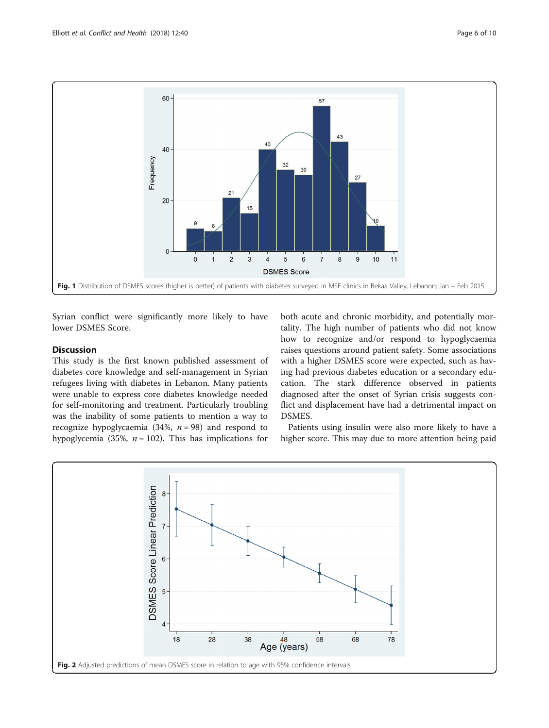<span id="page-5-0"></span>

Syrian conflict were significantly more likely to have lower DSMES Score.

# **Discussion**

This study is the first known published assessment of diabetes core knowledge and self-management in Syrian refugees living with diabetes in Lebanon. Many patients were unable to express core diabetes knowledge needed for self-monitoring and treatment. Particularly troubling was the inability of some patients to mention a way to recognize hypoglycaemia (34%,  $n = 98$ ) and respond to hypoglycemia (35%,  $n = 102$ ). This has implications for

both acute and chronic morbidity, and potentially mortality. The high number of patients who did not know how to recognize and/or respond to hypoglycaemia raises questions around patient safety. Some associations with a higher DSMES score were expected, such as having had previous diabetes education or a secondary education. The stark difference observed in patients diagnosed after the onset of Syrian crisis suggests conflict and displacement have had a detrimental impact on DSMES.

Patients using insulin were also more likely to have a higher score. This may due to more attention being paid

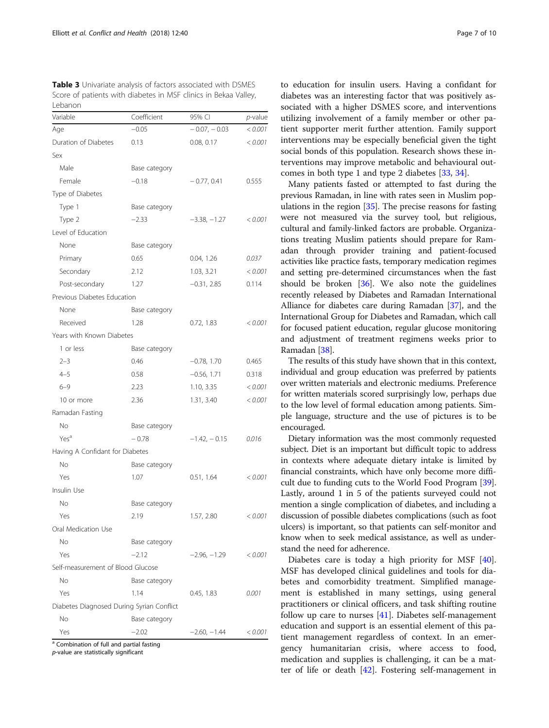<span id="page-6-0"></span>Table 3 Univariate analysis of factors associated with DSMES Score of patients with diabetes in MSF clinics in Bekaa Valley, Lebanon

| Variable                                  | Coefficient   | 95% CI         | $p$ -value |
|-------------------------------------------|---------------|----------------|------------|
| Age                                       | $-0.05$       | $-0.07, -0.03$ | < 0.001    |
| Duration of Diabetes                      | 0.13          | 0.08, 0.17     | < 0.001    |
| Sex                                       |               |                |            |
| Male                                      | Base category |                |            |
| Female                                    | $-0.18$       | $-0.77, 0.41$  | 0.555      |
| Type of Diabetes                          |               |                |            |
| Type 1                                    | Base category |                |            |
| Type 2                                    | $-2.33$       | $-3.38, -1.27$ | < 0.001    |
| Level of Education                        |               |                |            |
| None                                      | Base category |                |            |
| Primary                                   | 0.65          | 0.04, 1.26     | 0.037      |
| Secondary                                 | 2.12          | 1.03, 3.21     | < 0.001    |
| Post-secondary                            | 1.27          | $-0.31, 2.85$  | 0.114      |
| Previous Diabetes Education               |               |                |            |
| None                                      | Base category |                |            |
| Received                                  | 1.28          | 0.72, 1.83     | < 0.001    |
| Years with Known Diabetes                 |               |                |            |
| 1 or less                                 | Base category |                |            |
| $2 - 3$                                   | 0.46          | $-0.78$ , 1.70 | 0.465      |
| $4 - 5$                                   | 0.58          | $-0.56, 1.71$  | 0.318      |
| $6 - 9$                                   | 2.23          | 1.10, 3.35     | < 0.001    |
| 10 or more                                | 2.36          | 1.31, 3.40     | < 0.001    |
| Ramadan Fasting                           |               |                |            |
| No                                        | Base category |                |            |
| Yes <sup>a</sup>                          | $-0.78$       | $-1.42, -0.15$ | 0.016      |
| Having A Confidant for Diabetes           |               |                |            |
| No                                        | Base category |                |            |
| Yes                                       | 1.07          | 0.51, 1.64     | < 0.001    |
| Insulin Use                               |               |                |            |
| No                                        | Base category |                |            |
| Yes                                       | 2.19          | 1.57, 2.80     | < 0.001    |
| Oral Medication Use                       |               |                |            |
| No                                        | Base category |                |            |
| Yes                                       | $-2.12$       | $-2.96, -1.29$ | < 0.001    |
| Self-measurement of Blood Glucose         |               |                |            |
| No                                        | Base category |                |            |
| Yes                                       | 1.14          | 0.45, 1.83     | 0.001      |
| Diabetes Diagnosed During Syrian Conflict |               |                |            |
| No                                        | Base category |                |            |
| Yes                                       | $-2.02$       | $-2.60, -1.44$ | < 0.001    |

p-value are statistically significant

to education for insulin users. Having a confidant for diabetes was an interesting factor that was positively associated with a higher DSMES score, and interventions utilizing involvement of a family member or other patient supporter merit further attention. Family support interventions may be especially beneficial given the tight social bonds of this population. Research shows these interventions may improve metabolic and behavioural outcomes in both type 1 and type 2 diabetes [\[33,](#page-9-0) [34\]](#page-9-0).

Many patients fasted or attempted to fast during the previous Ramadan, in line with rates seen in Muslim populations in the region [\[35\]](#page-9-0). The precise reasons for fasting were not measured via the survey tool, but religious, cultural and family-linked factors are probable. Organizations treating Muslim patients should prepare for Ramadan through provider training and patient-focused activities like practice fasts, temporary medication regimes and setting pre-determined circumstances when the fast should be broken [\[36](#page-9-0)]. We also note the guidelines recently released by Diabetes and Ramadan International Alliance for diabetes care during Ramadan [\[37\]](#page-9-0), and the International Group for Diabetes and Ramadan, which call for focused patient education, regular glucose monitoring and adjustment of treatment regimens weeks prior to Ramadan [\[38\]](#page-9-0).

The results of this study have shown that in this context, individual and group education was preferred by patients over written materials and electronic mediums. Preference for written materials scored surprisingly low, perhaps due to the low level of formal education among patients. Simple language, structure and the use of pictures is to be encouraged.

Dietary information was the most commonly requested subject. Diet is an important but difficult topic to address in contexts where adequate dietary intake is limited by financial constraints, which have only become more difficult due to funding cuts to the World Food Program [[39](#page-9-0)]. Lastly, around 1 in 5 of the patients surveyed could not mention a single complication of diabetes, and including a discussion of possible diabetes complications (such as foot ulcers) is important, so that patients can self-monitor and know when to seek medical assistance, as well as understand the need for adherence.

Diabetes care is today a high priority for MSF [\[40](#page-9-0)]. MSF has developed clinical guidelines and tools for diabetes and comorbidity treatment. Simplified management is established in many settings, using general practitioners or clinical officers, and task shifting routine follow up care to nurses [[41\]](#page-9-0). Diabetes self-management education and support is an essential element of this patient management regardless of context. In an emergency humanitarian crisis, where access to food, medication and supplies is challenging, it can be a matter of life or death [[42\]](#page-9-0). Fostering self-management in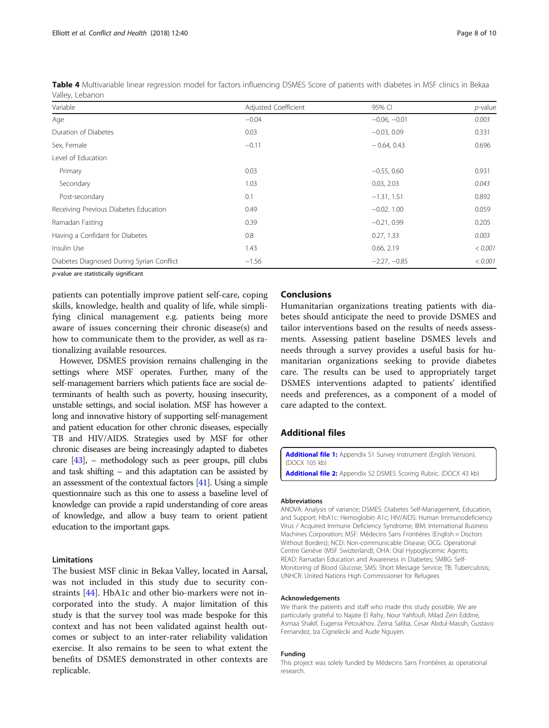| Variable                                  | Adjusted Coefficient | 95% CI         | $p$ -value |  |  |
|-------------------------------------------|----------------------|----------------|------------|--|--|
| Age                                       | $-0.04$              | $-0.06, -0.01$ | 0.003      |  |  |
| Duration of Diabetes                      | 0.03                 | $-0.03, 0.09$  | 0.331      |  |  |
| Sex, Female                               | $-0.11$              | $-0.64, 0.43$  | 0.696      |  |  |
| Level of Education                        |                      |                |            |  |  |
| Primary                                   | 0.03                 | $-0.55, 0.60$  | 0.931      |  |  |
| Secondary                                 | 1.03                 | 0.03, 2.03     | 0.043      |  |  |
| Post-secondary                            | 0.1                  | $-1.31, 1.51$  | 0.892      |  |  |
| Receiving Previous Diabetes Education     | 0.49                 | $-0.02, 1.00$  | 0.059      |  |  |
| Ramadan Fasting                           | 0.39                 | $-0.21, 0.99$  | 0.205      |  |  |
| Having a Confidant for Diabetes           | 0.8                  | 0.27, 1.33     | 0.003      |  |  |
| Insulin Use                               | 1.43                 | 0.66, 2.19     | < 0.001    |  |  |
| Diabetes Diagnosed During Syrian Conflict | $-1.56$              | $-2.27, -0.85$ | < 0.001    |  |  |

<span id="page-7-0"></span>Table 4 Multivariable linear regression model for factors influencing DSMES Score of patients with diabetes in MSF clinics in Bekaa Valley, Lebanon

p-value are statistically significant

patients can potentially improve patient self-care, coping skills, knowledge, health and quality of life, while simplifying clinical management e.g. patients being more aware of issues concerning their chronic disease(s) and how to communicate them to the provider, as well as rationalizing available resources.

However, DSMES provision remains challenging in the settings where MSF operates. Further, many of the self-management barriers which patients face are social determinants of health such as poverty, housing insecurity, unstable settings, and social isolation. MSF has however a long and innovative history of supporting self-management and patient education for other chronic diseases, especially TB and HIV/AIDS. Strategies used by MSF for other chronic diseases are being increasingly adapted to diabetes care  $[43]$ , – methodology such as peer groups, pill clubs and task shifting – and this adaptation can be assisted by an assessment of the contextual factors [\[41\]](#page-9-0). Using a simple questionnaire such as this one to assess a baseline level of knowledge can provide a rapid understanding of core areas of knowledge, and allow a busy team to orient patient education to the important gaps.

#### Limitations

The busiest MSF clinic in Bekaa Valley, located in Aarsal, was not included in this study due to security constraints [\[44\]](#page-9-0). HbA1c and other bio-markers were not incorporated into the study. A major limitation of this study is that the survey tool was made bespoke for this context and has not been validated against health outcomes or subject to an inter-rater reliability validation exercise. It also remains to be seen to what extent the benefits of DSMES demonstrated in other contexts are replicable.

# Conclusions

Humanitarian organizations treating patients with diabetes should anticipate the need to provide DSMES and tailor interventions based on the results of needs assessments. Assessing patient baseline DSMES levels and needs through a survey provides a useful basis for humanitarian organizations seeking to provide diabetes care. The results can be used to appropriately target DSMES interventions adapted to patients' identified needs and preferences, as a component of a model of care adapted to the context.

# Additional files

[Additional file 1:](https://doi.org/10.1186/s13031-018-0174-9) Appendix S1 Survey Instrument (English Version). (DOCX 105 kb) [Additional file 2:](https://doi.org/10.1186/s13031-018-0174-9) Appendix S2 DSMES Scoring Rubric. (DOCX 43 kb)

#### Abbreviations

ANOVA: Analysis of variance; DSMES: Diabetes Self-Management, Education, and Support; HbA1c: Hemoglobin A1c; HIV/AIDS: Human Immunodeficiency Virus / Acquired Immune Deficiency Syndrome; IBM: International Business Machines Corporation; MSF: Médecins Sans Frontières (English = Doctors Without Borders); NCD: Non-communicable Disease; OCG: Operational Centre Genève (MSF Swizterland); OHA: Oral Hypoglycemic Agents; READ: Ramadan Education and Awareness in Diabetes; SMBG: Self-Monitoring of Blood Glucose; SMS: Short Message Service; TB: Tuberculosis; UNHCR: United Nations High Commissioner for Refugees

#### Acknowledgements

We thank the patients and staff who made this study possible. We are particularly grateful to Najate El Rahy, Nour Yahfoufi, Milad Zein Eddine, Asmaa Shakif, Eugenia Petoukhov, Zeina Saliba, Cesar Abdul-Massih, Gustavo Fernandez, Iza Cignelecki and Aude Nguyen.

#### Funding

This project was solely funded by Médecins Sans Frontières as operational research.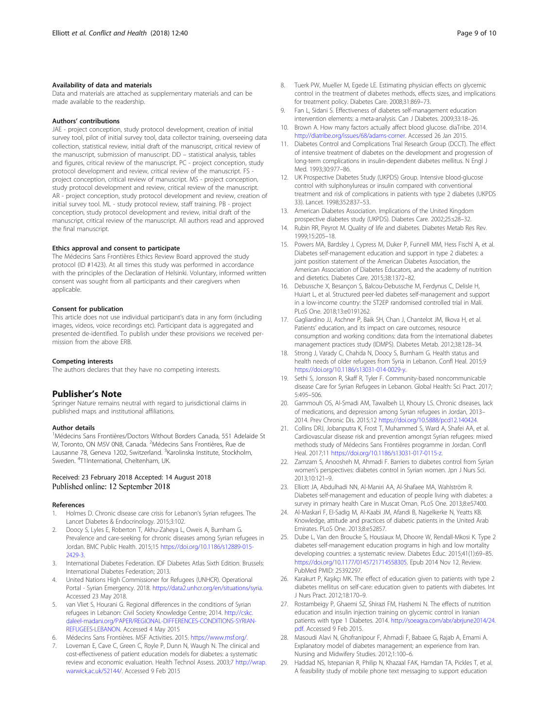#### <span id="page-8-0"></span>Availability of data and materials

Data and materials are attached as supplementary materials and can be made available to the readership.

#### Authors' contributions

JAE - project conception, study protocol development, creation of initial survey tool, pilot of initial survey tool, data collector training, overseeing data collection, statistical review, initial draft of the manuscript, critical review of the manuscript, submission of manuscript. DD – statistical analysis, tables and figures, critical review of the manuscript. PC - project conception, study protocol development and review, critical review of the manuscript. FS project conception, critical review of manuscript. MS - project conception, study protocol development and review, critical review of the manuscript. AR - project conception, study protocol development and review, creation of initial survey tool. ML - study protocol review, staff training. PB - project conception, study protocol development and review, initial draft of the manuscript, critical review of the manuscript. All authors read and approved the final manuscript.

#### Ethics approval and consent to participate

The Médecins Sans Frontières Ethics Review Board approved the study protocol (ID #1423). At all times this study was performed in accordance with the principles of the Declaration of Helsinki. Voluntary, informed written consent was sought from all participants and their caregivers when applicable.

#### Consent for publication

This article does not use individual participant's data in any form (including images, videos, voice recordings etc). Participant data is aggregated and presented de-identified. To publish under these provisions we received permission from the above ERB.

#### Competing interests

The authors declares that they have no competing interests.

#### Publisher's Note

Springer Nature remains neutral with regard to jurisdictional claims in published maps and institutional affiliations.

#### Author details

<sup>1</sup>Médecins Sans Frontières/Doctors Without Borders Canada, 551 Adelaide St W, Toronto, ON M5V 0N8, Canada. <sup>2</sup>Médecins Sans Frontières, Rue de Lausanne 78, Geneva 1202, Switzerland. <sup>3</sup>Karolinska Institute, Stockholm, Sweden. <sup>4</sup>T1International, Cheltenham, UK.

#### Received: 23 February 2018 Accepted: 14 August 2018 Published online: 12 September 2018

#### References

- 1. Holmes D. Chronic disease care crisis for Lebanon's Syrian refugees. The Lancet Diabetes & Endocrinology. 2015;3:102.
- 2. Doocy S, Lyles E, Roberton T, Akhu-Zaheya L, Oweis A, Burnham G. Prevalence and care-seeking for chronic diseases among Syrian refugees in Jordan. BMC Public Health. 2015;15 [https://doi.org/10.1186/s12889-015-](https://doi.org/10.1186/s12889-015-2429-3) [2429-3.](https://doi.org/10.1186/s12889-015-2429-3)
- 3. International Diabetes Federation. IDF Diabetes Atlas Sixth Edition. Brussels: International Diabetes Federation; 2013.
- 4. United Nations High Commissioner for Refugees (UNHCR). Operational Portal - Syrian Emergency. 2018. <https://data2.unhcr.org/en/situations/syria>. Accessed 23 May 2018.
- 5. van Vliet S, Hourani G. Regional differences in the conditions of Syrian refugees in Lebanon: Civil Society Knowledge Centre; 2014. [http://cskc.](http://cskc.daleel-madani.org/PAPER/REGIONAL-DIFFERENCES-CONDITIONS-SYRIAN-REFUGEES-LEBANON) [daleel-madani.org/PAPER/REGIONAL-DIFFERENCES-CONDITIONS-SYRIAN-](http://cskc.daleel-madani.org/PAPER/REGIONAL-DIFFERENCES-CONDITIONS-SYRIAN-REFUGEES-LEBANON)[REFUGEES-LEBANON](http://cskc.daleel-madani.org/PAPER/REGIONAL-DIFFERENCES-CONDITIONS-SYRIAN-REFUGEES-LEBANON). Accessed 4 May 2015
- 6. Médecins Sans Frontières. MSF Activities. 2015. [https://www.msf.org/.](https://www.msf.org/)
- Loveman E, Cave C, Green C, Royle P, Dunn N, Waugh N. The clinical and cost-effectiveness of patient education models for diabetes: a systematic review and economic evaluation. Health Technol Assess. 2003;7 [http://wrap.](http://wrap.warwick.ac.uk/52144/) [warwick.ac.uk/52144/](http://wrap.warwick.ac.uk/52144/). Accessed 9 Feb 2015
- 8. Tuerk PW, Mueller M, Egede LE. Estimating physician effects on glycemic control in the treatment of diabetes methods, effects sizes, and implications for treatment policy. Diabetes Care. 2008;31:869–73.
- 9. Fan L, Sidani S. Effectiveness of diabetes self-management education intervention elements: a meta-analysis. Can J Diabetes. 2009;33:18–26.
- 10. Brown A. How many factors actually affect blood glucose. diaTribe. 2014. [http://diatribe.org/issues/68/adams-corner.](http://diatribe.org/issues/68/adams-corner) Accessed 26 Jan 2015.
- 11. Diabetes Control and Complications Trial Research Group (DCCT). The effect of intensive treatment of diabetes on the development and progression of long-term complications in insulin-dependent diabetes mellitus. N Engl J Med. 1993;30:977–86.
- 12. UK Prospective Diabetes Study (UKPDS) Group. Intensive blood-glucose control with sulphonylureas or insulin compared with conventional treatment and risk of complications in patients with type 2 diabetes (UKPDS 33). Lancet. 1998;352:837–53.
- 13. American Diabetes Association. Implications of the United Kingdom prospective diabetes study (UKPDS). Diabetes Care. 2002;25:s28–32.
- 14. Rubin RR, Peyrot M. Quality of life and diabetes. Diabetes Metab Res Rev. 1999;15:205–18.
- 15. Powers MA, Bardsley J, Cypress M, Duker P, Funnell MM, Hess Fischl A, et al. Diabetes self-management education and support in type 2 diabetes: a joint position statement of the American Diabetes Association, the American Association of Diabetes Educators, and the academy of nutrition and dietetics. Diabetes Care. 2015;38:1372–82.
- 16. Debussche X, Besançon S, Balcou-Debussche M, Ferdynus C, Delisle H, Huiart L, et al. Structured peer-led diabetes self-management and support in a low-income country: the ST2EP randomised controlled trial in Mali. PLoS One. 2018;13:e0191262.
- 17. Gagliardino JJ, Aschner P, Baik SH, Chan J, Chantelot JM, Ilkova H, et al. Patients' education, and its impact on care outcomes, resource consumption and working conditions: data from the international diabetes management practices study (IDMPS). Diabetes Metab. 2012;38:128–34.
- 18. Strong J, Varady C, Chahda N, Doocy S, Burnham G. Health status and health needs of older refugees from Syria in Lebanon. Confl Heal. 2015;9 [https://doi.org/10.1186/s13031-014-0029-y.](https://doi.org/10.1186/s13031-014-0029-y)
- 19. Sethi S, Jonsson R, Skaff R, Tyler F. Community-based noncommunicable disease Care for Syrian Refugees in Lebanon. Global Health: Sci Pract. 2017; 5:495–506.
- 20. Gammouh OS, Al-Smadi AM, Tawalbeh LI, Khoury LS. Chronic diseases, lack of medications, and depression among Syrian refugees in Jordan, 2013– 2014. Prev Chronic Dis. 2015;12 [https://doi.org/10.5888/pcd12.140424.](https://doi.org/10.5888/pcd12.140424)
- 21. Collins DRJ, Jobanputra K, Frost T, Muhammed S, Ward A, Shafei AA, et al. Cardiovascular disease risk and prevention amongst Syrian refugees: mixed methods study of Médecins Sans Frontières programme in Jordan. Confl Heal. 2017;11 <https://doi.org/10.1186/s13031-017-0115-z>.
- 22. Zamzam S, Anoosheh M, Ahmadi F. Barriers to diabetes control from Syrian women's perspectives: diabetes control in Syrian women. Jpn J Nurs Sci. 2013;10:121–9.
- 23. Elliott JA, Abdulhadi NN, Al-Maniri AA, Al-Shafaee MA, Wahlström R. Diabetes self-management and education of people living with diabetes: a survey in primary health Care in Muscat Oman. PLoS One. 2013;8:e57400.
- 24. Al-Maskari F, El-Sadig M, Al-Kaabi JM, Afandi B, Nagelkerke N, Yeatts KB. Knowledge, attitude and practices of diabetic patients in the United Arab Emirates. PLoS One. 2013;8:e52857.
- 25. Dube L, Van den Broucke S, Housiaux M, Dhoore W, Rendall-Mkosi K. Type 2 diabetes self-management education programs in high and low mortality developing countries: a systematic review. Diabetes Educ. 2015;41(1):69–85. [https://doi.org/10.1177/0145721714558305.](https://doi.org/10.1177/0145721714558305) Epub 2014 Nov 12. Review. PubMed PMID: 25392297.
- 26. Karakurt P, Kaşıkçı MK. The effect of education given to patients with type 2 diabetes mellitus on self-care: education given to patients with diabetes. Int J Nurs Pract. 2012;18:170–9.
- 27. Rostambeigy P, Ghaemi SZ, Shirazi FM, Hashemi N. The effects of nutrition education and insulin injection training on glycemic control in Iranian patients with type 1 Diabetes. 2014. [http://soeagra.com/abr/abrjune2014/24.](http://soeagra.com/abr/abrjune2014/24.pdf) [pdf](http://soeagra.com/abr/abrjune2014/24.pdf). Accessed 9 Feb 2015.
- 28. Masoudi Alavi N, Ghofranipour F, Ahmadi F, Babaee G, Rajab A, Emami A. Explanatory model of diabetes management; an experience from Iran. Nursing and Midwifery Studies. 2012;1:100–6.
- 29. Haddad NS, Istepanian R, Philip N, Khazaal FAK, Hamdan TA, Pickles T, et al. A feasibility study of mobile phone text messaging to support education